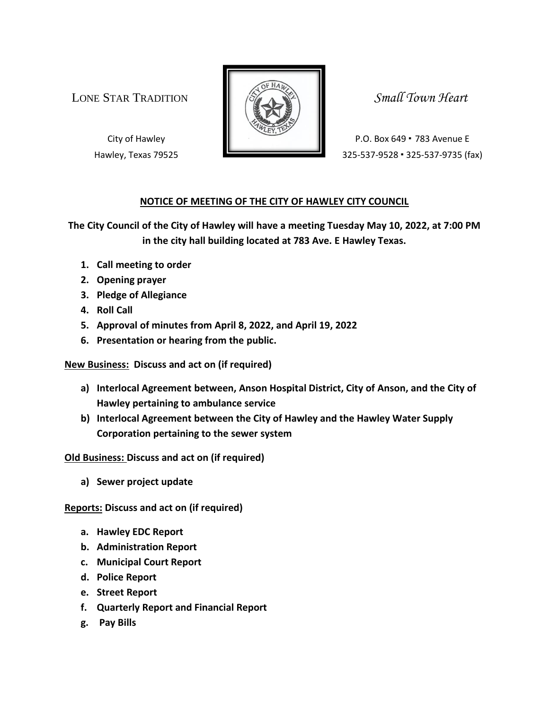LONE STAR TRADITION **SMALL SMALL** Small Town Heart



City of Hawley **P.O. Box 649 • 783 Avenue E** Hawley, Texas 79525 325-537-9528 · 325-537-9735 (fax)

## **NOTICE OF MEETING OF THE CITY OF HAWLEY CITY COUNCIL**

**The City Council of the City of Hawley will have a meeting Tuesday May 10, 2022, at 7:00 PM in the city hall building located at 783 Ave. E Hawley Texas.**

- **1. Call meeting to order**
- **2. Opening prayer**
- **3. Pledge of Allegiance**
- **4. Roll Call**
- **5. Approval of minutes from April 8, 2022, and April 19, 2022**
- **6. Presentation or hearing from the public.**

**New Business: Discuss and act on (if required)**

- **a) Interlocal Agreement between, Anson Hospital District, City of Anson, and the City of Hawley pertaining to ambulance service**
- **b) Interlocal Agreement between the City of Hawley and the Hawley Water Supply Corporation pertaining to the sewer system**

**Old Business: Discuss and act on (if required)**

**a) Sewer project update**

**Reports: Discuss and act on (if required)**

- **a. Hawley EDC Report**
- **b. Administration Report**
- **c. Municipal Court Report**
- **d. Police Report**
- **e. Street Report**
- **f. Quarterly Report and Financial Report**
- **g. Pay Bills**